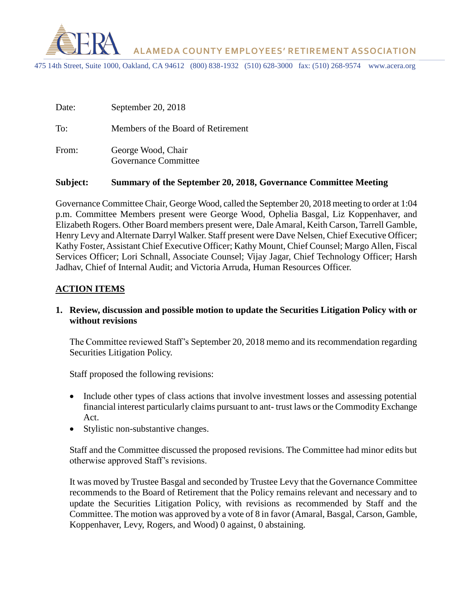

 **ALAMEDA COUNTY EMPLOYEES' RETIREMENT ASSOCIATION**

475 14th Street, Suite 1000, Oakland, CA 94612 (800) 838-1932 (510) 628-3000 fax: (510) 268-9574 www.acera.org

| Date: | September 20, 2018                         |
|-------|--------------------------------------------|
| To:   | Members of the Board of Retirement         |
| From: | George Wood, Chair<br>Governance Committee |

#### **Subject: Summary of the September 20, 2018, Governance Committee Meeting**

Governance Committee Chair, George Wood, called the September 20, 2018 meeting to order at 1:04 p.m. Committee Members present were George Wood, Ophelia Basgal, Liz Koppenhaver, and Elizabeth Rogers. Other Board members present were, Dale Amaral, Keith Carson, Tarrell Gamble, Henry Levy and Alternate Darryl Walker. Staff present were Dave Nelsen, Chief Executive Officer; Kathy Foster, Assistant Chief Executive Officer; Kathy Mount, Chief Counsel; Margo Allen, Fiscal Services Officer; Lori Schnall, Associate Counsel; Vijay Jagar, Chief Technology Officer; Harsh Jadhav, Chief of Internal Audit; and Victoria Arruda, Human Resources Officer.

### **ACTION ITEMS**

### **1. Review, discussion and possible motion to update the Securities Litigation Policy with or without revisions**

The Committee reviewed Staff's September 20, 2018 memo and its recommendation regarding Securities Litigation Policy.

Staff proposed the following revisions:

- Include other types of class actions that involve investment losses and assessing potential financial interest particularly claims pursuant to ant- trust laws or the Commodity Exchange Act.
- Stylistic non-substantive changes.

Staff and the Committee discussed the proposed revisions. The Committee had minor edits but otherwise approved Staff's revisions.

It was moved by Trustee Basgal and seconded by Trustee Levy that the Governance Committee recommends to the Board of Retirement that the Policy remains relevant and necessary and to update the Securities Litigation Policy, with revisions as recommended by Staff and the Committee. The motion was approved by a vote of 8 in favor (Amaral, Basgal, Carson, Gamble, Koppenhaver, Levy, Rogers, and Wood) 0 against, 0 abstaining.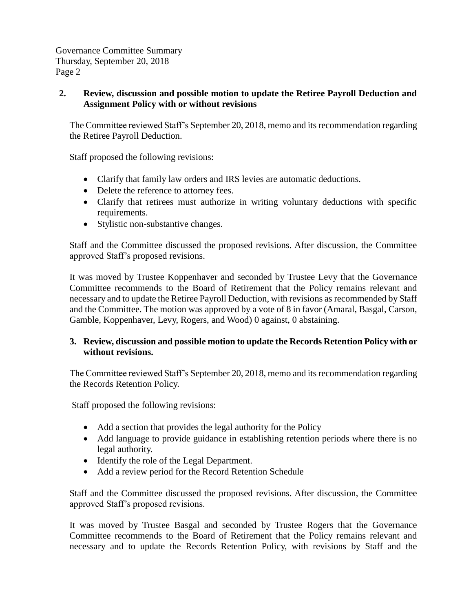Governance Committee Summary Thursday, September 20, 2018 Page 2

## **2. Review, discussion and possible motion to update the Retiree Payroll Deduction and Assignment Policy with or without revisions**

The Committee reviewed Staff's September 20, 2018, memo and its recommendation regarding the Retiree Payroll Deduction.

Staff proposed the following revisions:

- Clarify that family law orders and IRS levies are automatic deductions.
- Delete the reference to attorney fees.
- Clarify that retirees must authorize in writing voluntary deductions with specific requirements.
- Stylistic non-substantive changes.

Staff and the Committee discussed the proposed revisions. After discussion, the Committee approved Staff's proposed revisions.

It was moved by Trustee Koppenhaver and seconded by Trustee Levy that the Governance Committee recommends to the Board of Retirement that the Policy remains relevant and necessary and to update the Retiree Payroll Deduction, with revisions as recommended by Staff and the Committee. The motion was approved by a vote of 8 in favor (Amaral, Basgal, Carson, Gamble, Koppenhaver, Levy, Rogers, and Wood) 0 against, 0 abstaining.

## **3. Review, discussion and possible motion to update the Records Retention Policy with or without revisions.**

The Committee reviewed Staff's September 20, 2018, memo and its recommendation regarding the Records Retention Policy.

Staff proposed the following revisions:

- Add a section that provides the legal authority for the Policy
- Add language to provide guidance in establishing retention periods where there is no legal authority.
- Identify the role of the Legal Department.
- Add a review period for the Record Retention Schedule

Staff and the Committee discussed the proposed revisions. After discussion, the Committee approved Staff's proposed revisions.

It was moved by Trustee Basgal and seconded by Trustee Rogers that the Governance Committee recommends to the Board of Retirement that the Policy remains relevant and necessary and to update the Records Retention Policy, with revisions by Staff and the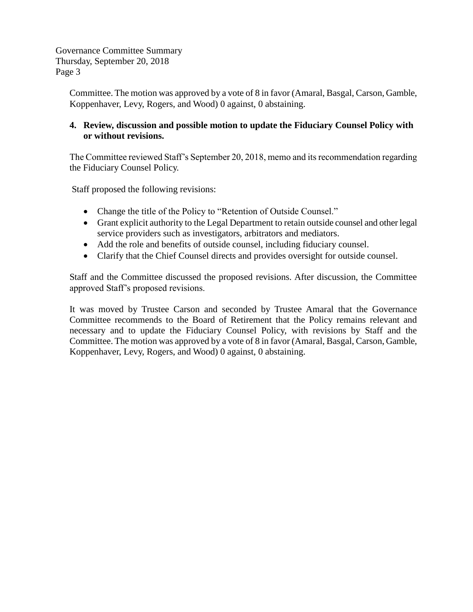Governance Committee Summary Thursday, September 20, 2018 Page 3

> Committee. The motion was approved by a vote of 8 in favor (Amaral, Basgal, Carson, Gamble, Koppenhaver, Levy, Rogers, and Wood) 0 against, 0 abstaining.

### **4. Review, discussion and possible motion to update the Fiduciary Counsel Policy with or without revisions.**

The Committee reviewed Staff's September 20, 2018, memo and its recommendation regarding the Fiduciary Counsel Policy.

Staff proposed the following revisions:

- Change the title of the Policy to "Retention of Outside Counsel."
- Grant explicit authority to the Legal Department to retain outside counsel and other legal service providers such as investigators, arbitrators and mediators.
- Add the role and benefits of outside counsel, including fiduciary counsel.
- Clarify that the Chief Counsel directs and provides oversight for outside counsel.

Staff and the Committee discussed the proposed revisions. After discussion, the Committee approved Staff's proposed revisions.

It was moved by Trustee Carson and seconded by Trustee Amaral that the Governance Committee recommends to the Board of Retirement that the Policy remains relevant and necessary and to update the Fiduciary Counsel Policy, with revisions by Staff and the Committee. The motion was approved by a vote of 8 in favor (Amaral, Basgal, Carson, Gamble, Koppenhaver, Levy, Rogers, and Wood) 0 against, 0 abstaining.